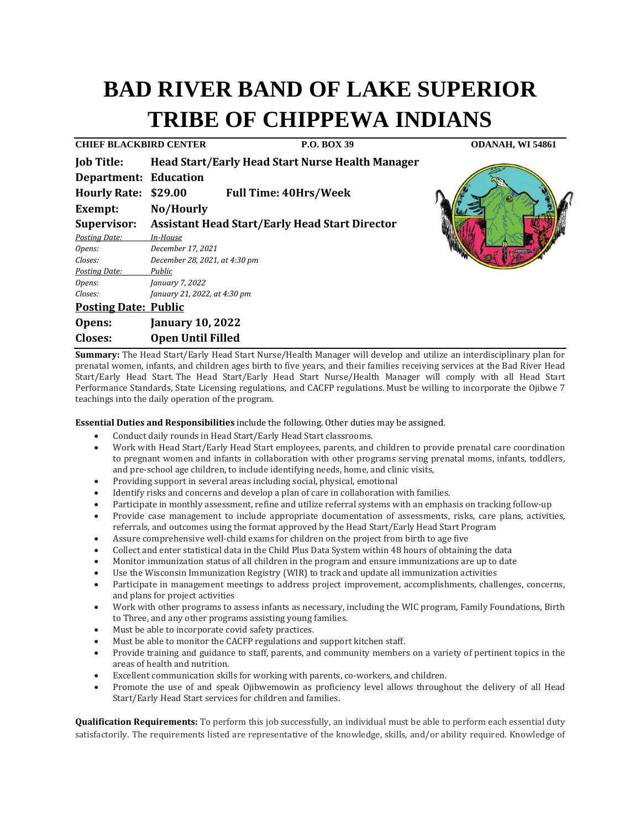# **BAD RIVER BAND OF LAKE SUPERIOR TRIBE OF CHIPPEWA INDIANS**

| <b>CHIEF BLACKBIRD CENTER</b> |                                                       | <b>P.O. BOX 39</b>                                      | <b>ODANAH, WI 54861</b> |
|-------------------------------|-------------------------------------------------------|---------------------------------------------------------|-------------------------|
| <b>Job Title:</b>             |                                                       | <b>Head Start/Early Head Start Nurse Health Manager</b> |                         |
| <b>Department: Education</b>  |                                                       |                                                         |                         |
| Hourly Rate: \$29.00          |                                                       | <b>Full Time: 40Hrs/Week</b>                            |                         |
| Exempt:                       | No/Hourly                                             |                                                         |                         |
| Supervisor:                   | <b>Assistant Head Start/Early Head Start Director</b> |                                                         |                         |
| <b>Posting Date:</b>          | In-House                                              |                                                         |                         |
| Opens:                        | December 17, 2021                                     |                                                         |                         |
| Closes:                       | December 28, 2021, at 4:30 pm                         |                                                         |                         |
| Posting Date:                 | Public                                                |                                                         |                         |
| Opens:                        | January 7, 2022                                       |                                                         |                         |
| Closes:                       | January 21, 2022, at 4:30 pm                          |                                                         |                         |
| <b>Posting Date: Public</b>   |                                                       |                                                         |                         |
| Opens:                        | <b>January 10, 2022</b>                               |                                                         |                         |
| <b>Closes:</b>                | <b>Open Until Filled</b>                              |                                                         |                         |

**Summary:** The Head Start/Early Head Start Nurse/Health Manager will develop and utilize an interdisciplinary plan for prenatal women, infants, and children ages birth to five years, and their families receiving services at the Bad River Head Start/Early Head Start. The Head Start/Early Head Start Nurse/Health Manager will comply with all Head Start Performance Standards, State Licensing regulations, and CACFP regulations. Must be willing to incorporate the Ojibwe 7 teachings into the daily operation of the program.

**Essential Duties and Responsibilities** include the following. Other duties may be assigned.

- Conduct daily rounds in Head Start/Early Head Start classrooms.
- Work with Head Start/Early Head Start employees, parents, and children to provide prenatal care coordination to pregnant women and infants in collaboration with other programs serving prenatal moms, infants, toddlers, and pre-school age children, to include identifying needs, home, and clinic visits,
- Providing support in several areas including social, physical, emotional
- Identify risks and concerns and develop a plan of care in collaboration with families.
- Participate in monthly assessment, refine and utilize referral systems with an emphasis on tracking follow-up
- Provide case management to include appropriate documentation of assessments, risks, care plans, activities, referrals, and outcomes using the format approved by the Head Start/Early Head Start Program
- Assure comprehensive well-child exams for children on the project from birth to age five
- Collect and enter statistical data in the Child Plus Data System within 48 hours of obtaining the data<br>• Monitor immunization status of all children in the program and ensure immunizations are un to date
- Monitor immunization status of all children in the program and ensure immunizations are up to date
- Use the Wisconsin Immunization Registry (WIR) to track and update all immunization activities<br>• Participate in management meetings to address project improvement, accomplishments, chall
- Participate in management meetings to address project improvement, accomplishments, challenges, concerns, and plans for project activities
- Work with other programs to assess infants as necessary, including the WIC program, Family Foundations, Birth to Three, and any other programs assisting young families.
- Must be able to incorporate covid safety practices.
- Must be able to monitor the CACFP regulations and support kitchen staff.<br>• Provide training and guidance to staff, parents, and community members
- Provide training and guidance to staff, parents, and community members on a variety of pertinent topics in the areas of health and nutrition.
- Excellent communication skills for working with parents, co-workers, and children.
- Promote the use of and speak Ojibwemowin as proficiency level allows throughout the delivery of all Head Start/Early Head Start services for children and families.

**Qualification Requirements:** To perform this job successfully, an individual must be able to perform each essential duty satisfactorily. The requirements listed are representative of the knowledge, skills, and/or ability required. Knowledge of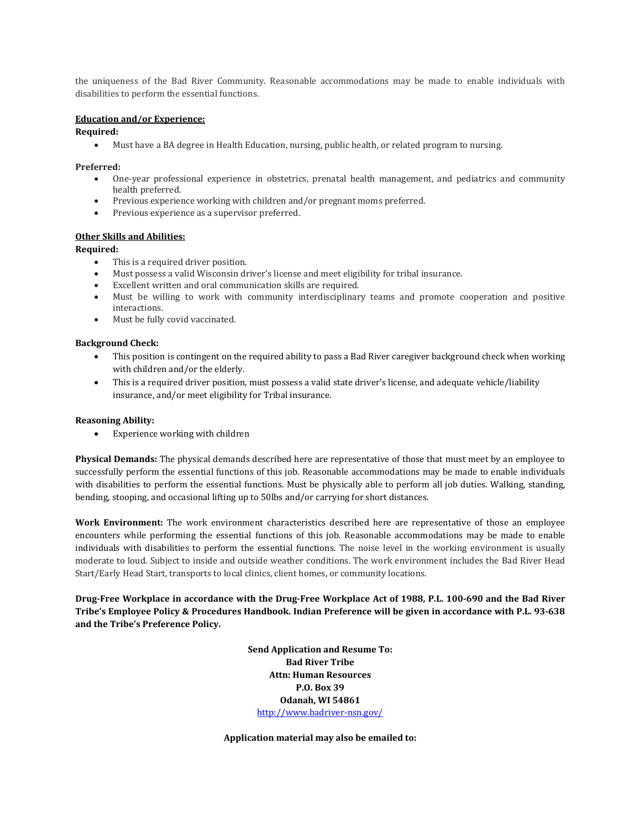the uniqueness of the Bad River Community. Reasonable accommodations may be made to enable individuals with disabilities to perform the essential functions.

# **Education and/or Experience:**

#### **Required:**

• Must have a BA degree in Health Education, nursing, public health, or related program to nursing.

## **Preferred:**

- One-year professional experience in obstetrics, prenatal health management, and pediatrics and community health preferred.
- Previous experience working with children and/or pregnant moms preferred.
- Previous experience as a supervisor preferred.

## **Other Skills and Abilities:**

## **Required:**

- This is a required driver position.
- Must possess a valid Wisconsin driver's license and meet eligibility for tribal insurance.
- Excellent written and oral communication skills are required.<br>• Must be willing to work with community interdisciplinar
- Must be willing to work with community interdisciplinary teams and promote cooperation and positive interactions.
- Must be fully covid vaccinated.

## **Background Check:**

- This position is contingent on the required ability to pass a Bad River caregiver background check when working with children and/or the elderly.
- This is a required driver position, must possess a valid state driver's license, and adequate vehicle/liability insurance, and/or meet eligibility for Tribal insurance.

#### **Reasoning Ability:**

• Experience working with children

**Physical Demands:** The physical demands described here are representative of those that must meet by an employee to successfully perform the essential functions of this job. Reasonable accommodations may be made to enable individuals with disabilities to perform the essential functions. Must be physically able to perform all job duties. Walking, standing, bending, stooping, and occasional lifting up to 50lbs and/or carrying for short distances.

**Work Environment:** The work environment characteristics described here are representative of those an employee encounters while performing the essential functions of this job. Reasonable accommodations may be made to enable individuals with disabilities to perform the essential functions. The noise level in the working environment is usually moderate to loud. Subject to inside and outside weather conditions. The work environment includes the Bad River Head Start/Early Head Start, transports to local clinics, client homes, or community locations.

**Drug-Free Workplace in accordance with the Drug-Free Workplace Act of 1988, P.L. 100-690 and the Bad River Tribe's Employee Policy & Procedures Handbook. Indian Preference will be given in accordance with P.L. 93-638 and the Tribe's Preference Policy.** 

> **Send Application and Resume To: Bad River Tribe Attn: Human Resources P.O. Box 39 Odanah, WI 54861** <http://www.badriver-nsn.gov/>

**Application material may also be emailed to:**